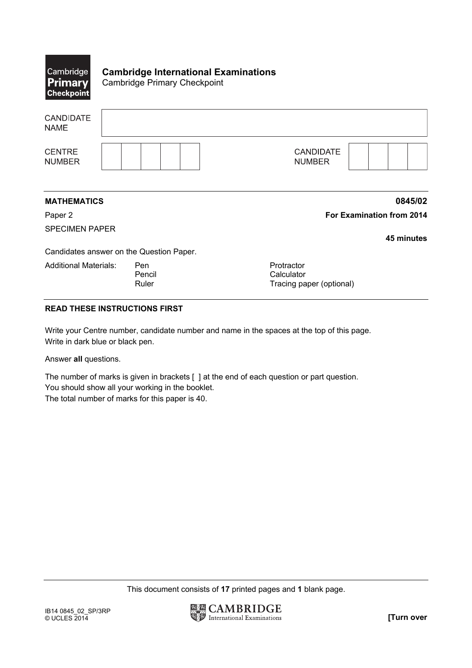| $ {\sf Cambridge} $<br><b>Primary</b><br><b>Checkpoint</b> | <b>Cambridge International Examinations</b><br><b>Cambridge Primary Checkpoint</b> |                                                      |
|------------------------------------------------------------|------------------------------------------------------------------------------------|------------------------------------------------------|
| <b>CANDIDATE</b><br><b>NAME</b>                            |                                                                                    |                                                      |
| <b>CENTRE</b><br><b>NUMBER</b>                             |                                                                                    | <b>CANDIDATE</b><br><b>NUMBER</b>                    |
| <b>MATHEMATICS</b>                                         |                                                                                    | 0845/02                                              |
| Paper 2                                                    |                                                                                    | For Examination from 2014                            |
| <b>SPECIMEN PAPER</b>                                      |                                                                                    | 45 minutes                                           |
|                                                            | Candidates answer on the Question Paper.                                           |                                                      |
| <b>Additional Materials:</b>                               | Pen<br>Pencil<br>Ruler                                                             | Protractor<br>Calculator<br>Tracing paper (optional) |

## **READ THESE INSTRUCTIONS FIRST**

Write your Centre number, candidate number and name in the spaces at the top of this page. Write in dark blue or black pen.

Answer **all** questions.

The number of marks is given in brackets [ ] at the end of each question or part question. You should show all your working in the booklet.

The total number of marks for this paper is 40.

This document consists of **17** printed pages and **1** blank page.

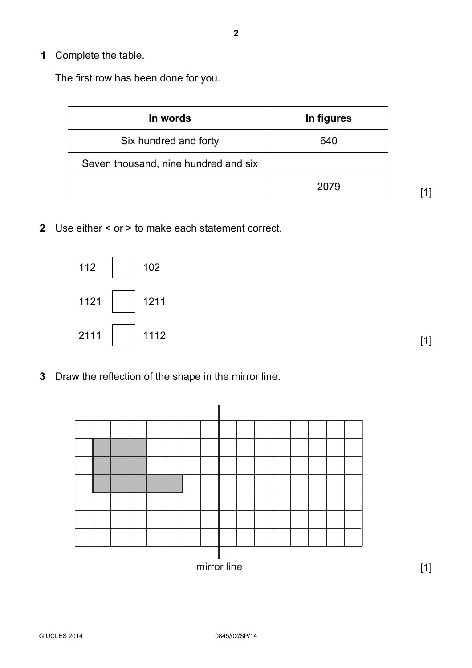The first row has been done for you.

| In words                             | In figures |
|--------------------------------------|------------|
| Six hundred and forty                | 640        |
| Seven thousand, nine hundred and six |            |
|                                      | 2079       |

[1]

 **2** Use either < or > to make each statement correct.



[1]

 **3** Draw the reflection of the shape in the mirror line.



**2**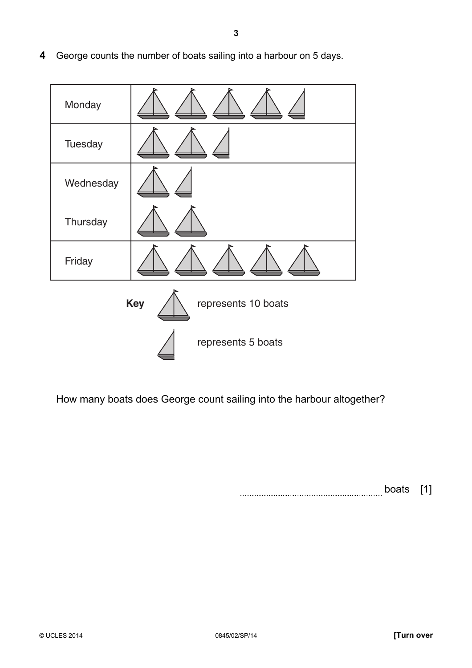- Monday **Tuesday Wednesday Thursday** Friday **Key**  $\bigwedge$  represents 10 boats represents 5 boats
- **4** George counts the number of boats sailing into a harbour on 5 days.

How many boats does George count sailing into the harbour altogether?

boats [1]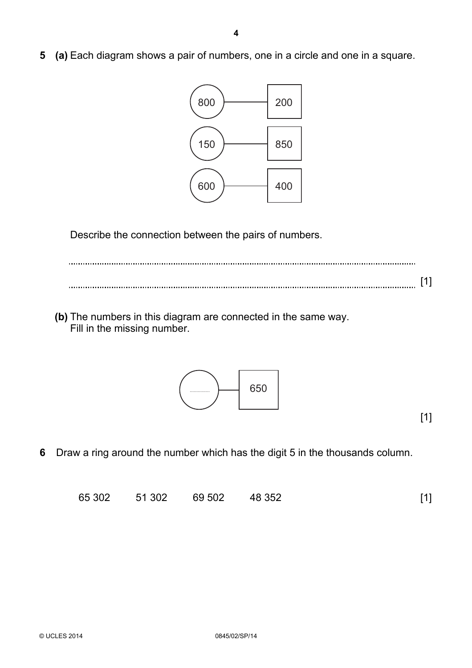**5 (a)** Each diagram shows a pair of numbers, one in a circle and one in a square.



Describe the connection between the pairs of numbers.

[1]

**(b)** The numbers in this diagram are connected in the same way. Fill in the missing number.



 **6** Draw a ring around the number which has the digit 5 in the thousands column.

|  | 65 302 | 51 302 | 69 502 | 48 352 | $[1]$ |  |
|--|--------|--------|--------|--------|-------|--|
|--|--------|--------|--------|--------|-------|--|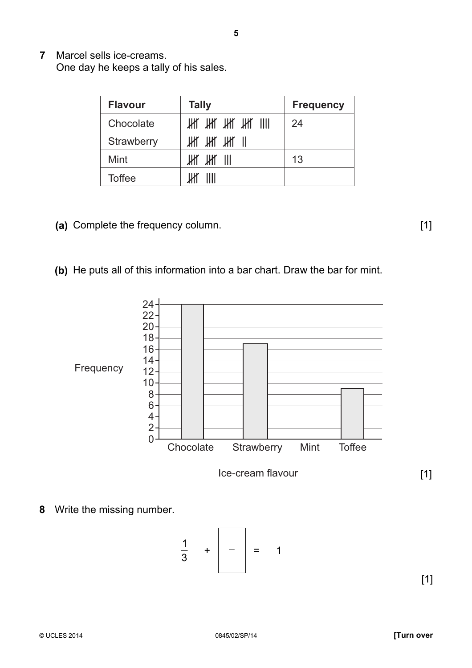**7** Marcel sells ice-creams. One day he keeps a tally of his sales.

| <b>Flavour</b> | <b>Tally</b>                                                            | <b>Frequency</b> |
|----------------|-------------------------------------------------------------------------|------------------|
| Chocolate      | $\mathbb H$ $\mathbb H$ $\mathbb H$ $\mathbb H$ $\mathbb H$ $\mathbb H$ | 24               |
| Strawberry     | И И И И                                                                 |                  |
| Mint           | Ж Ж III                                                                 | 13               |
| <b>Toffee</b>  |                                                                         |                  |

- **(a)** Complete the frequency column. [1]
- **(b)** He puts all of this information into a bar chart. Draw the bar for mint.



**8** Write the missing number.

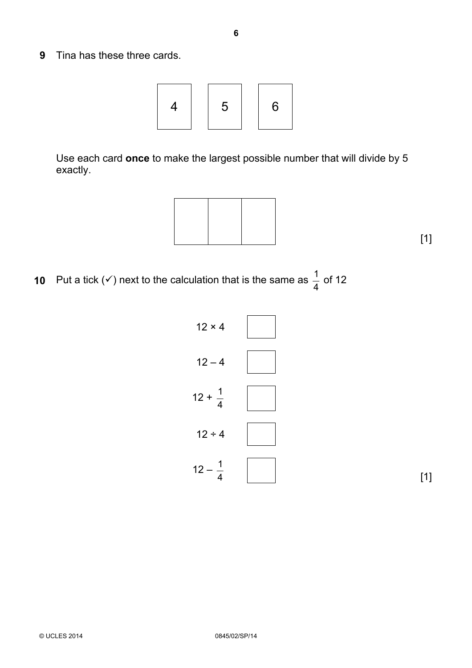**9** Tina has these three cards.



 Use each card **once** to make the largest possible number that will divide by 5 exactly.



**10** Put a tick ( $\checkmark$ ) next to the calculation that is the same as  $\frac{1}{4}$  $\frac{1}{1}$  of 12

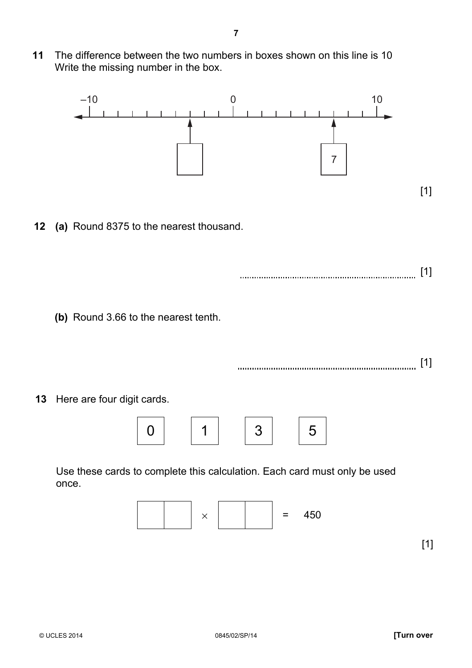**11** The difference between the two numbers in boxes shown on this line is 10 Write the missing number in the box.

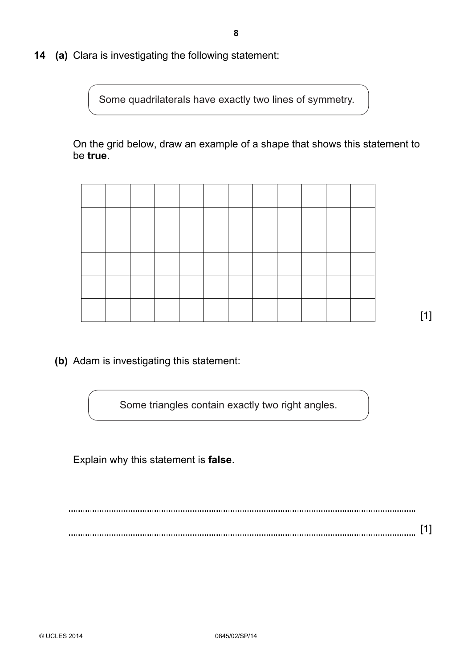**14 (a)** Clara is investigating the following statement:

Some quadrilaterals have exactly two lines of symmetry.

 On the grid below, draw an example of a shape that shows this statement to be **true**.

[1]

**(b)** Adam is investigating this statement:

Some triangles contain exactly two right angles.

Explain why this statement is **false**.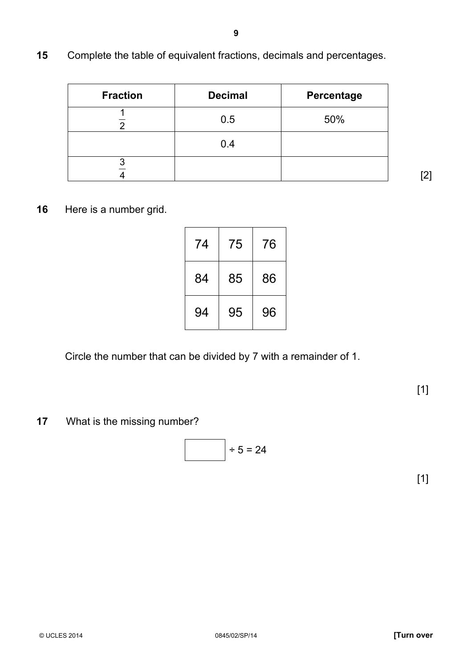**15** Complete the table of equivalent fractions, decimals and percentages.

| <b>Fraction</b> | <b>Decimal</b> | Percentage |
|-----------------|----------------|------------|
|                 | 0.5            | 50%        |
|                 | 0.4            |            |
|                 |                |            |

**9**

[2]

**16** Here is a number grid.

| 74 | 75 | 76 |
|----|----|----|
| 84 | 85 | 86 |
| 94 | 95 | 96 |

Circle the number that can be divided by 7 with a remainder of 1.

[1]

**17** What is the missing number?

$$
\begin{array}{c|c}\n & +5 = 24 \\
\hline\n\end{array}
$$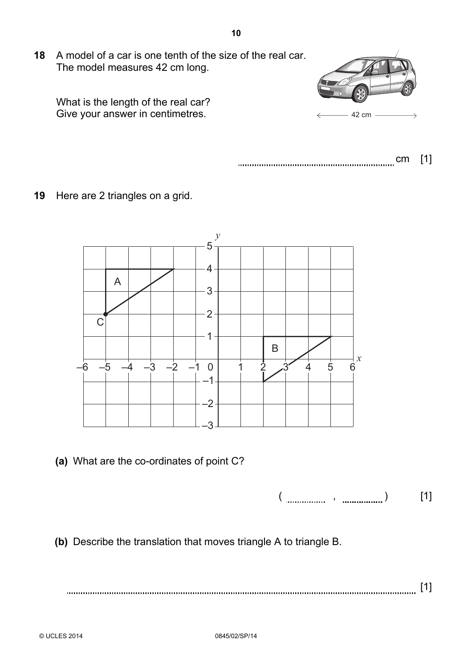**18** A model of a car is one tenth of the size of the real car. The model measures 42 cm long.





- cm [1]
- **19** Here are 2 triangles on a grid.



**(a)** What are the co-ordinates of point C?

 $(\begin{array}{cc} 0 & 0 & 0 \\ 0 & 0 & 0 \\ 0 & 0 & 0 \\ 0 & 0 & 0 \\ 0 & 0 & 0 \\ 0 & 0 & 0 \\ 0 & 0 & 0 \\ 0 & 0 & 0 \\ 0 & 0 & 0 \\ 0 & 0 & 0 \\ 0 & 0 & 0 \\ 0 & 0 & 0 \\ 0 & 0 & 0 & 0 \\ 0 & 0 & 0 & 0 \\ 0 & 0 & 0 & 0 \\ 0 & 0 & 0 & 0 & 0 \\ 0 & 0 & 0 & 0 & 0 \\ 0 & 0 & 0 & 0 & 0 \\ 0 & 0 & 0 & 0 & 0 & 0 \\ 0 & 0 &$ 

**(b)** Describe the translation that moves triangle A to triangle B.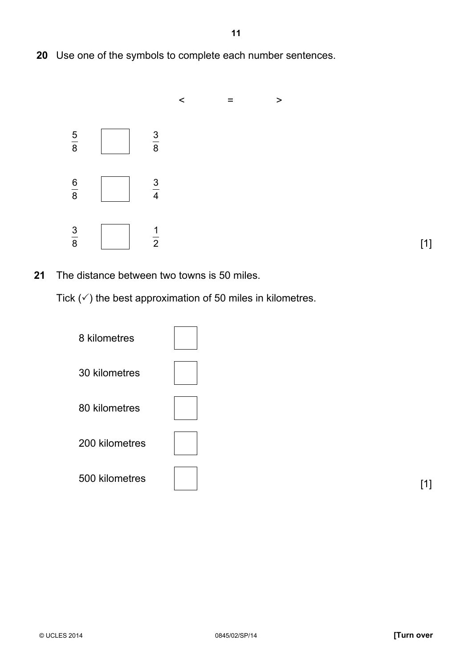Use one of the symbols to complete each number sentences.



[1]

The distance between two towns is 50 miles.

Tick  $(\checkmark)$  the best approximation of 50 miles in kilometres.

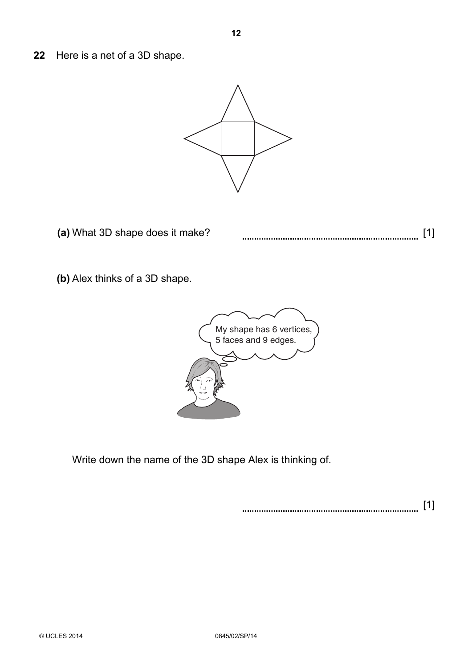**22** Here is a net of a 3D shape.



(a) What 3D shape does it make? **[1] contact all the state of the state of the state of the state of the state of the state of the state of the state of the state of the state of the state of the state of the state of th** 

**(b)** Alex thinks of a 3D shape.



Write down the name of the 3D shape Alex is thinking of.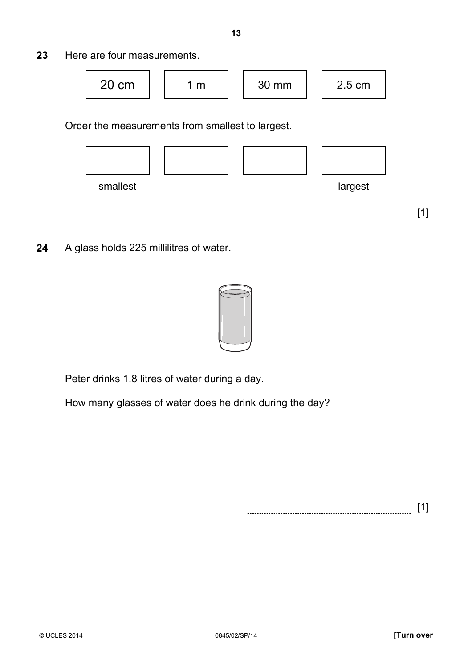**23** Here are four measurements.



Order the measurements from smallest to largest.



[1]

**24** A glass holds 225 millilitres of water.



Peter drinks 1.8 litres of water during a day.

How many glasses of water does he drink during the day?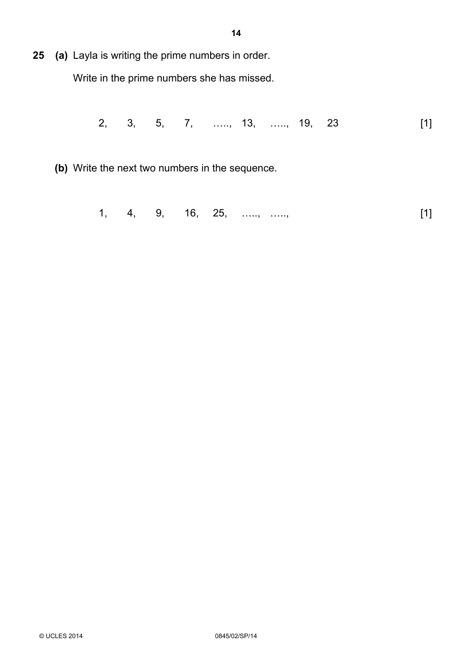**25 (a)** Layla is writing the prime numbers in order.

Write in the prime numbers she has missed.

2, 3, 5, 7, «.., 13, «.., 19, 23 [1]

**(b)** Write the next two numbers in the sequence.

1, 4, 9, 16, 25, ....., ....., [1]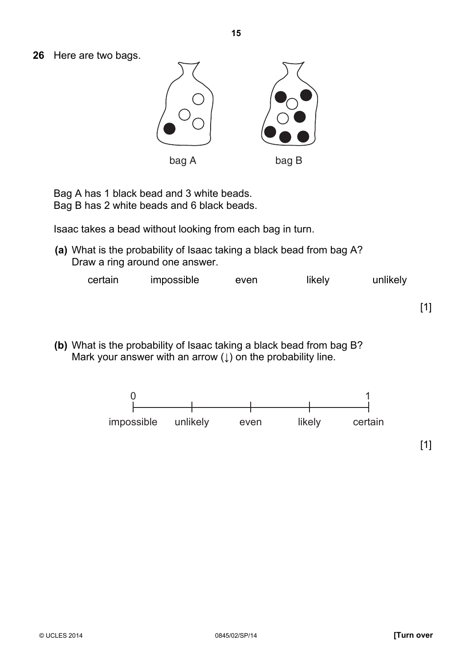**26** Here are two bags.



Bag A has 1 black bead and 3 white beads. Bag B has 2 white beads and 6 black beads.

Isaac takes a bead without looking from each bag in turn.

**(a)** What is the probability of Isaac taking a black bead from bag A? Draw a ring around one answer.

| certain | impossible | even | likely | unlikely |
|---------|------------|------|--------|----------|
|         |            |      |        |          |

**(b)** What is the probability of Isaac taking a black bead from bag B? Mark your answer with an arrow  $( )$  on the probability line.

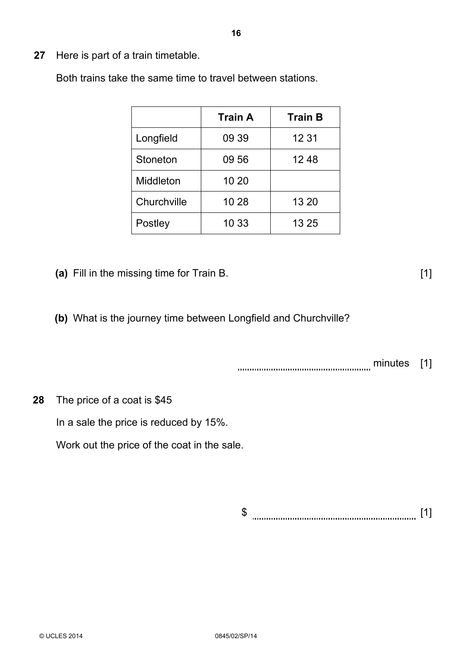**27** Here is part of a train timetable.

Both trains take the same time to travel between stations.

|             | <b>Train A</b> | <b>Train B</b> |
|-------------|----------------|----------------|
| Longfield   | 09 39          | 12 31          |
| Stoneton    | 09 56          | 1248           |
| Middleton   | 10 20          |                |
| Churchville | 10 28          | 13 20          |
| Postley     | 10 33          | 13 25          |

- **(a)** Fill in the missing time for Train B. [1]
- **(b)** What is the journey time between Longfield and Churchville?

minutes [1]

 **28** The price of a coat is \$45

In a sale the price is reduced by 15%.

Work out the price of the coat in the sale.

\$ [1]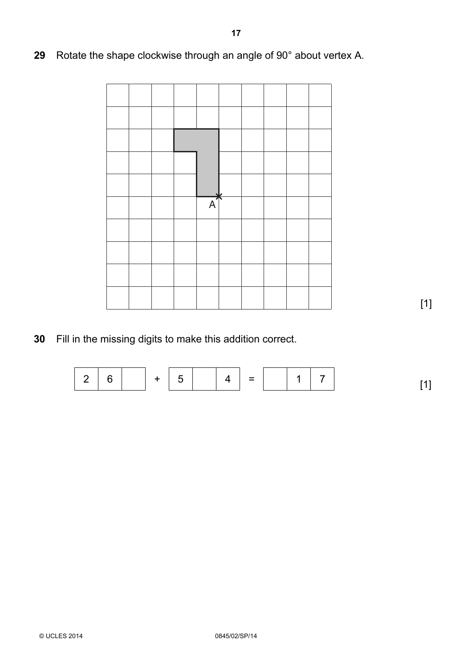|  |  | $\overline{A}$ |  |  |  |
|--|--|----------------|--|--|--|
|  |  |                |  |  |  |
|  |  |                |  |  |  |
|  |  |                |  |  |  |
|  |  |                |  |  |  |

[1]

 **30** Fill in the missing digits to make this addition correct.

2 6 + 5 4 = 1 7 [1]